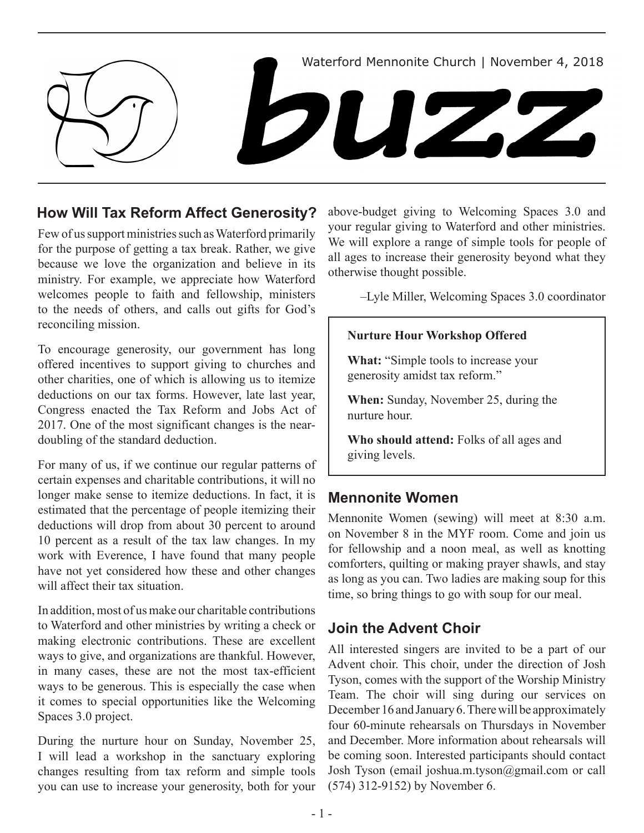

### **How Will Tax Reform Affect Generosity?**

Few of us support ministries such as Waterford primarily for the purpose of getting a tax break. Rather, we give because we love the organization and believe in its ministry. For example, we appreciate how Waterford welcomes people to faith and fellowship, ministers to the needs of others, and calls out gifts for God's reconciling mission.

To encourage generosity, our government has long offered incentives to support giving to churches and other charities, one of which is allowing us to itemize deductions on our tax forms. However, late last year, Congress enacted the Tax Reform and Jobs Act of 2017. One of the most significant changes is the neardoubling of the standard deduction.

For many of us, if we continue our regular patterns of certain expenses and charitable contributions, it will no longer make sense to itemize deductions. In fact, it is estimated that the percentage of people itemizing their deductions will drop from about 30 percent to around 10 percent as a result of the tax law changes. In my work with Everence, I have found that many people have not yet considered how these and other changes will affect their tax situation.

In addition, most of us make our charitable contributions to Waterford and other ministries by writing a check or making electronic contributions. These are excellent ways to give, and organizations are thankful. However, in many cases, these are not the most tax-efficient ways to be generous. This is especially the case when it comes to special opportunities like the Welcoming Spaces 3.0 project.

During the nurture hour on Sunday, November 25, I will lead a workshop in the sanctuary exploring changes resulting from tax reform and simple tools you can use to increase your generosity, both for your above-budget giving to Welcoming Spaces 3.0 and your regular giving to Waterford and other ministries. We will explore a range of simple tools for people of all ages to increase their generosity beyond what they otherwise thought possible.

–Lyle Miller, Welcoming Spaces 3.0 coordinator

### **Nurture Hour Workshop Offered**

**What:** "Simple tools to increase your generosity amidst tax reform."

**When:** Sunday, November 25, during the nurture hour.

**Who should attend:** Folks of all ages and giving levels.

### **Mennonite Women**

Mennonite Women (sewing) will meet at 8:30 a.m. on November 8 in the MYF room. Come and join us for fellowship and a noon meal, as well as knotting comforters, quilting or making prayer shawls, and stay as long as you can. Two ladies are making soup for this time, so bring things to go with soup for our meal.

## **Join the Advent Choir**

All interested singers are invited to be a part of our Advent choir. This choir, under the direction of Josh Tyson, comes with the support of the Worship Ministry Team. The choir will sing during our services on December 16 and January 6. There will be approximately four 60-minute rehearsals on Thursdays in November and December. More information about rehearsals will be coming soon. Interested participants should contact Josh Tyson (email joshua.m.tyson@gmail.com or call (574) 312-9152) by November 6.